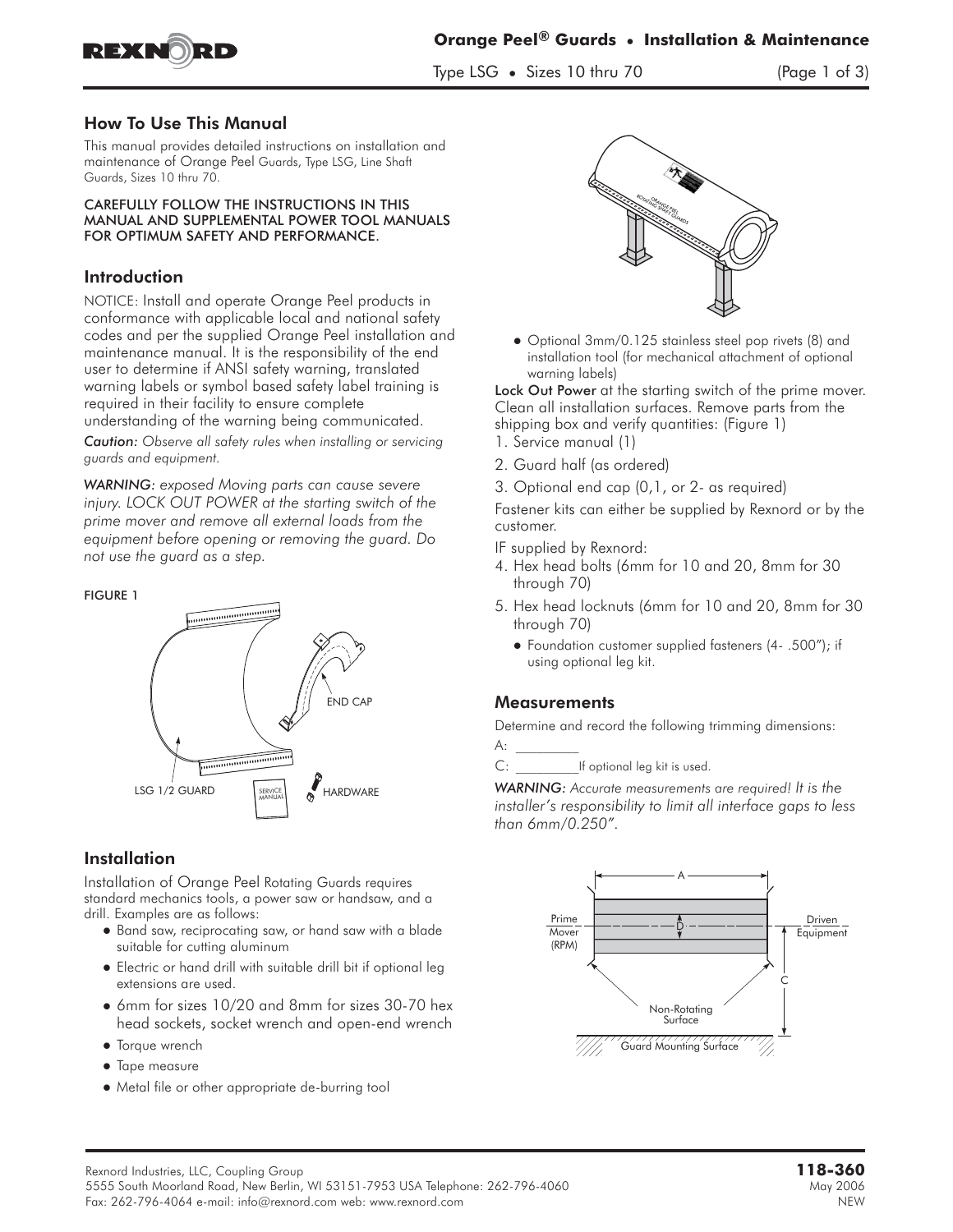

Type LSG **•** Sizes 10 thru 70 (Page 1 of 3)

### **How To Use This Manual**

This manual provides detailed instructions on installation and maintenance of Orange Peel Guards, Type LSG, Line Shaft Guards, Sizes 10 thru 70.

#### CAREFULLY FOLLOW THE INSTRUCTIONS IN THIS MANUAL AND SUPPLEMENTAL POWER TOOL MANUALS FOR OPTIMUM SAFETY AND PERFORMANCE.

## Introduction

**NOTICE:** Install and operate Orange Peel products in conformance with applicable local and national safety codes and per the supplied Orange Peel installation and maintenance manual. It is the responsibility of the end user to determine if ANSI safety warning, translated warning labels or symbol based safety label training is required in their facility to ensure complete understanding of the warning being communicated.

*Caution: Observe all safety rules when installing or servicing guards and equipment.*

*WARNING: exposed Moving parts can cause severe injury. LOCK OUT POWER at the starting switch of the prime mover and remove all external loads from the equipment before opening or removing the guard. Do not use the guard as a step.*

#### FIGURE 1



## **Installation**

Installation of Orange Peel Rotating Guards requires standard mechanics tools, a power saw or handsaw, and a drill. Examples are as follows:

- Band saw, reciprocating saw, or hand saw with a blade suitable for cutting aluminum
- Electric or hand drill with suitable drill bit if optional leg extensions are used.
- 6mm for sizes 10/20 and 8mm for sizes 30-70 hex head sockets, socket wrench and open-end wrench
- Torque wrench
- $\bullet$  Tape measure
- $\bullet$  Metal file or other appropriate de-burring tool



- Optional 3mm/0.125 stainless steel pop rivets (8) and installation tool (for mechanical attachment of optional warning labels)

Lock Out Power at the starting switch of the prime mover. Clean all installation surfaces. Remove parts from the shipping box and verify quantities: (Figure 1)

- 1. Service manual (1)
- 2. Guard half (as ordered)
- 3. Optional end cap (0,1, or 2- as required)

**Fastener kits can either be supplied by Rexnord or by the customer.**

- **IF supplied by Rexnord:**
- 4. Hex head bolts (6mm for 10 and 20, 8mm for 30 through 70)
- 5. Hex head locknuts (6mm for 10 and 20, 8mm for 30 through 70)
	- Foundation customer supplied fasteners (4- .500"); if using optional leg kit.

## **Measurements**

**Determine and record the following trimming dimensions:**

- A: \_\_\_\_\_\_\_\_\_
- C: If optional leg kit is used.

*WARNING: Accurate measurements are required! It is the installer's responsibility to limit all interface gaps to less than 6mm/0.250".*

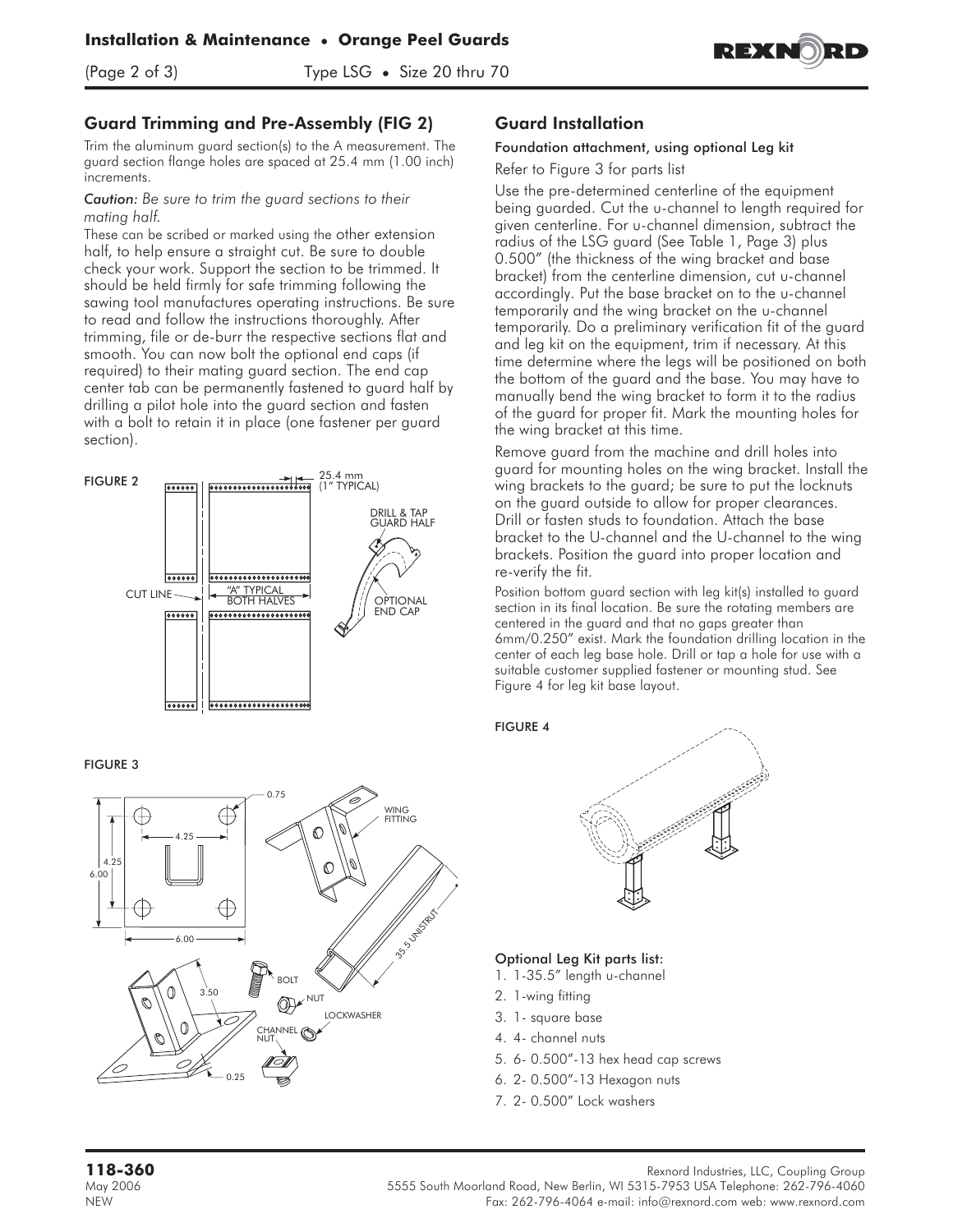**REXNORD** 

(Page 2 of 3) Type LSG **•** Size 20 thru 70

# **Guard Trimming and Pre-Assembly (FIG 2)**

Trim the aluminum guard section(s) to the **A** measurement. The guard section flange holes are spaced at 25.4 mm (1.00 inch) increments.

#### *Caution: Be sure to trim the guard sections to their mating half.*

These can be scribed or marked using the other extension half, to help ensure a straight cut. Be sure to double check your work. Support the section to be trimmed. It should be held firmly for safe trimming following the sawing tool manufactures operating instructions. Be sure to read and follow the instructions thoroughly. After trimming, file or de-burr the respective sections flat and smooth. You can now bolt the optional end caps (if required) to their mating guard section. The end cap center tab can be permanently fastened to guard half by drilling a pilot hole into the guard section and fasten with a bolt to retain it in place (one fastener per guard section).



FIGURE 3



### Guard Installation

### Foundation attachment, using optional Leg kit

Refer to Figure 3 for parts list

Use the pre-determined centerline of the equipment being guarded. Cut the u-channel to length required for given centerline. For u-channel dimension, subtract the radius of the LSG guard (**See Table 1, Page 3**) plus 0.500" (the thickness of the wing bracket and base bracket) from the centerline dimension, cut u-channel accordingly. Put the base bracket on to the u-channel temporarily and the wing bracket on the u-channel temporarily. Do a preliminary verification fit of the guard and leg kit on the equipment, trim if necessary. At this time determine where the legs will be positioned on both the bottom of the guard and the base. You may have to manually bend the wing bracket to form it to the radius of the guard for proper fit. Mark the mounting holes for the wing bracket at this time.

Remove guard from the machine and drill holes into guard for mounting holes on the wing bracket. Install the wing brackets to the guard; be sure to put the locknuts on the guard outside to allow for proper clearances. Drill or fasten studs to foundation. Attach the base bracket to the U-channel and the U-channel to the wing brackets. Position the guard into proper location and re-verify the fit.

Position bottom guard section with leg kit(s) installed to guard section in its final location. Be sure the rotating members are centered in the guard and that no gaps greater than 6mm/0.250" exist. Mark the foundation drilling location in the center of each leg base hole. Drill or tap a hole for use with a suitable customer supplied fastener or mounting stud. See Figure 4 for leg kit base layout.





### Optional Leg Kit parts list:

- **1. 1-35.5" length u-channel**
- 2. 1-wing fitting
- 3. 1- square base
- 4. 4- channel nuts
- 5. 6- 0.500"-13 hex head cap screws
- 6. 2- 0.500"-13 Hexagon nuts
- 7. 2- 0.500" Lock washers

**118-360** Rexnord Industries, LLC, Coupling Group

May 2006 5555 South Moorland Road, New Berlin, WI 5315-7953 USA Telephone: 262-796-4060 NEW Fax: 262-796-4064 e-mail: info@rexnord.com web: www.rexnord.com